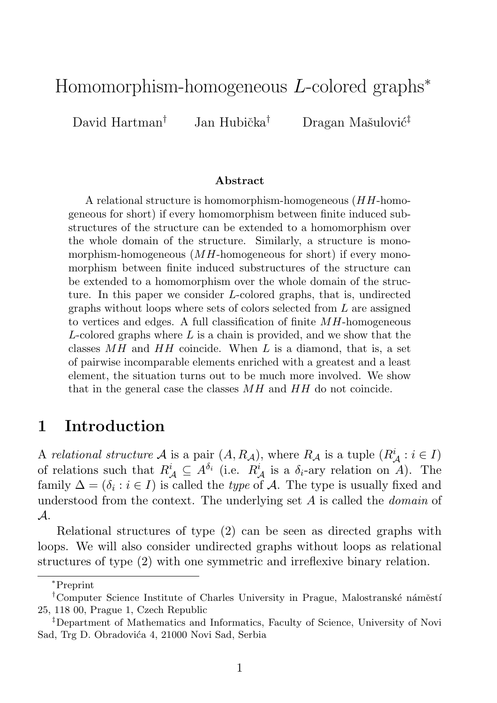## Homomorphism-homogeneous L-colored graphs<sup>∗</sup>

David Hartman† Jan Hubička<sup>†</sup> Dragan Mašulović<sup>‡</sup>

#### Abstract

A relational structure is homomorphism-homogeneous (HH-homogeneous for short) if every homomorphism between finite induced substructures of the structure can be extended to a homomorphism over the whole domain of the structure. Similarly, a structure is monomorphism-homogeneous  $(MH\text{-}\mathrm{homogeneous}$  for short) if every monomorphism between finite induced substructures of the structure can be extended to a homomorphism over the whole domain of the structure. In this paper we consider L-colored graphs, that is, undirected graphs without loops where sets of colors selected from L are assigned to vertices and edges. A full classification of finite  $MH$ -homogeneous L-colored graphs where  $L$  is a chain is provided, and we show that the classes  $MH$  and  $HH$  coincide. When L is a diamond, that is, a set of pairwise incomparable elements enriched with a greatest and a least element, the situation turns out to be much more involved. We show that in the general case the classes MH and HH do not coincide.

#### 1 Introduction

A relational structure A is a pair  $(A, R_A)$ , where  $R_A$  is a tuple  $(R_A^i : i \in I)$ of relations such that  $R^i_A \subseteq A^{\delta_i}$  (i.e.  $R^i_A$  is a  $\delta_i$ -ary relation on A). The family  $\Delta = (\delta_i : i \in I)$  is called the *type* of A. The type is usually fixed and understood from the context. The underlying set A is called the *domain* of A.

Relational structures of type (2) can be seen as directed graphs with loops. We will also consider undirected graphs without loops as relational structures of type (2) with one symmetric and irreflexive binary relation.

<sup>∗</sup> Preprint

<sup>&</sup>lt;sup>†</sup>Computer Science Institute of Charles University in Prague, Malostranské náměstí 25, 118 00, Prague 1, Czech Republic

<sup>‡</sup>Department of Mathematics and Informatics, Faculty of Science, University of Novi Sad, Trg D. Obradovića 4, 21000 Novi Sad, Serbia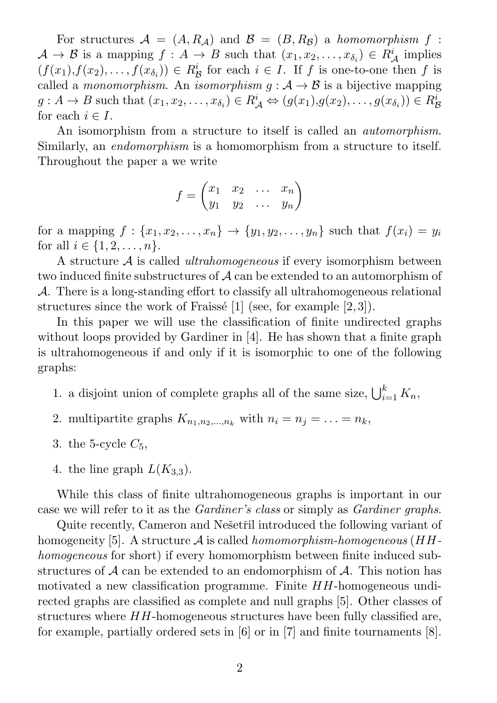For structures  $A = (A, R_A)$  and  $B = (B, R_B)$  a homomorphism f:  $\mathcal{A} \to \mathcal{B}$  is a mapping  $f : A \to B$  such that  $(x_1, x_2, \ldots, x_{\delta_i}) \in R_{\mathcal{A}}^i$  implies  $(f(x_1), f(x_2), \ldots, f(x_{\delta_i})) \in R_{\mathcal{B}}^i$  for each  $i \in I$ . If f is one-to-one then f is called a monomorphism. An isomorphism  $g : A \rightarrow B$  is a bijective mapping  $g: A \to B$  such that  $(x_1, x_2, \ldots, x_{\delta_i}) \in R^i_A \Leftrightarrow (g(x_1), g(x_2), \ldots, g(x_{\delta_i})) \in R^i_{\mathcal{B}}$ for each  $i \in I$ .

An isomorphism from a structure to itself is called an *automorphism*. Similarly, an *endomorphism* is a homomorphism from a structure to itself. Throughout the paper a we write

$$
f = \begin{pmatrix} x_1 & x_2 & \dots & x_n \\ y_1 & y_2 & \dots & y_n \end{pmatrix}
$$

for a mapping  $f: \{x_1, x_2, \ldots, x_n\} \to \{y_1, y_2, \ldots, y_n\}$  such that  $f(x_i) = y_i$ for all  $i \in \{1, 2, ..., n\}.$ 

A structure A is called ultrahomogeneous if every isomorphism between two induced finite substructures of A can be extended to an automorphism of A. There is a long-standing effort to classify all ultrahomogeneous relational structures since the work of Fraissé  $[1]$  (see, for example  $[2,3]$ ).

In this paper we will use the classification of finite undirected graphs without loops provided by Gardiner in [4]. He has shown that a finite graph is ultrahomogeneous if and only if it is isomorphic to one of the following graphs:

- 1. a disjoint union of complete graphs all of the same size,  $\bigcup_{i=1}^{k} K_n$ ,
- 2. multipartite graphs  $K_{n_1,n_2,...,n_k}$  with  $n_i = n_j = ... = n_k$ ,
- 3. the 5-cycle  $C_5$ ,
- 4. the line graph  $L(K_{3,3})$ .

While this class of finite ultrahomogeneous graphs is important in our case we will refer to it as the Gardiner's class or simply as Gardiner graphs.

Quite recently, Cameron and Nešetřil introduced the following variant of homogeneity [5]. A structure  $\mathcal A$  is called homomorphism-homogeneous (HHhomogeneous for short) if every homomorphism between finite induced substructures of  $A$  can be extended to an endomorphism of  $A$ . This notion has motivated a new classification programme. Finite HH-homogeneous undirected graphs are classified as complete and null graphs [5]. Other classes of structures where HH-homogeneous structures have been fully classified are, for example, partially ordered sets in [6] or in [7] and finite tournaments [8].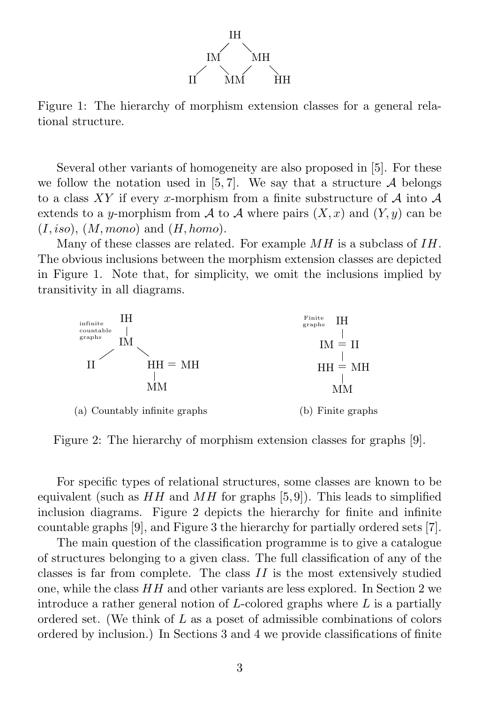

Figure 1: The hierarchy of morphism extension classes for a general relational structure.

Several other variants of homogeneity are also proposed in [5]. For these we follow the notation used in [5, 7]. We say that a structure  $A$  belongs to a class XY if every x-morphism from a finite substructure of  $A$  into  $A$ extends to a y-morphism from A to A where pairs  $(X, x)$  and  $(Y, y)$  can be  $(I, iso), (M, mono)$  and  $(H, homo)$ .

Many of these classes are related. For example MH is a subclass of IH. The obvious inclusions between the morphism extension classes are depicted in Figure 1. Note that, for simplicity, we omit the inclusions implied by transitivity in all diagrams.



Figure 2: The hierarchy of morphism extension classes for graphs [9].

For specific types of relational structures, some classes are known to be equivalent (such as  $HH$  and  $MH$  for graphs [5,9]). This leads to simplified inclusion diagrams. Figure 2 depicts the hierarchy for finite and infinite countable graphs [9], and Figure 3 the hierarchy for partially ordered sets [7].

The main question of the classification programme is to give a catalogue of structures belonging to a given class. The full classification of any of the classes is far from complete. The class II is the most extensively studied one, while the class HH and other variants are less explored. In Section 2 we introduce a rather general notion of  $L$ -colored graphs where  $L$  is a partially ordered set. (We think of L as a poset of admissible combinations of colors ordered by inclusion.) In Sections 3 and 4 we provide classifications of finite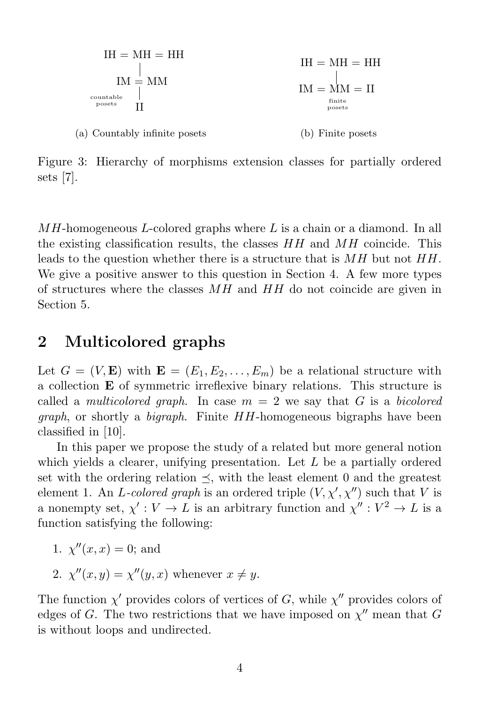

Figure 3: Hierarchy of morphisms extension classes for partially ordered sets [7].

 $MH$ -homogeneous L-colored graphs where L is a chain or a diamond. In all the existing classification results, the classes HH and MH coincide. This leads to the question whether there is a structure that is MH but not HH. We give a positive answer to this question in Section 4. A few more types of structures where the classes MH and HH do not coincide are given in Section 5.

### 2 Multicolored graphs

Let  $G = (V, \mathbf{E})$  with  $\mathbf{E} = (E_1, E_2, \dots, E_m)$  be a relational structure with a collection E of symmetric irreflexive binary relations. This structure is called a *multicolored graph*. In case  $m = 2$  we say that G is a bicolored graph, or shortly a bigraph. Finite HH-homogeneous bigraphs have been classified in [10].

In this paper we propose the study of a related but more general notion which yields a clearer, unifying presentation. Let L be a partially ordered set with the ordering relation  $\leq$ , with the least element 0 and the greatest element 1. An L-colored graph is an ordered triple  $(V, \chi', \chi'')$  such that V is a nonempty set,  $\chi': V \to L$  is an arbitrary function and  $\chi'': V^2 \to L$  is a function satisfying the following:

- 1.  $\chi''(x, x) = 0$ ; and
- 2.  $\chi''(x, y) = \chi''(y, x)$  whenever  $x \neq y$ .

The function  $\chi'$  provides colors of vertices of G, while  $\chi''$  provides colors of edges of G. The two restrictions that we have imposed on  $\chi''$  mean that G is without loops and undirected.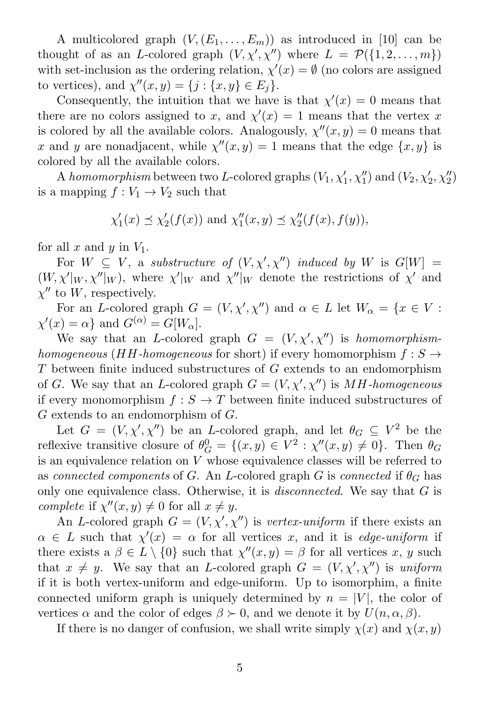A multicolored graph  $(V,(E_1,\ldots,E_m))$  as introduced in [10] can be thought of as an L-colored graph  $(V, \chi', \chi'')$  where  $L = \mathcal{P}(\{1, 2, ..., m\})$ with set-inclusion as the ordering relation,  $\chi'(x) = \emptyset$  (no colors are assigned to vertices), and  $\chi''(x, y) = \{j : \{x, y\} \in E_j\}.$ 

Consequently, the intuition that we have is that  $\chi'(x) = 0$  means that there are no colors assigned to x, and  $\chi'(x) = 1$  means that the vertex x is colored by all the available colors. Analogously,  $\chi''(x, y) = 0$  means that x and y are nonadjacent, while  $\chi''(x, y) = 1$  means that the edge  $\{x, y\}$  is colored by all the available colors.

A homomorphism between two L-colored graphs  $(V_1, \chi'_1, \chi''_1)$  and  $(V_2, \chi'_2, \chi''_2)$ is a mapping  $f: V_1 \to V_2$  such that

$$
\chi'_1(x) \leq \chi'_2(f(x))
$$
 and  $\chi''_1(x, y) \leq \chi''_2(f(x), f(y)),$ 

for all x and y in  $V_1$ .

For  $W \subseteq V$ , a substructure of  $(V, \chi', \chi'')$  induced by W is  $G[W] =$  $(W, \chi' |_{W}, \chi'' |_{W})$ , where  $\chi' |_{W}$  and  $\chi'' |_{W}$  denote the restrictions of  $\chi'$  and  $\chi''$  to W, respectively.

For an L-colored graph  $G = (V, \chi', \chi'')$  and  $\alpha \in L$  let  $W_{\alpha} = \{x \in V :$  $\chi'(x) = \alpha$  and  $G^{(\alpha)} = G[W_{\alpha}].$ 

We say that an L-colored graph  $G = (V, \chi', \chi'')$  is homomorphismhomogeneous (HH-homogeneous for short) if every homomorphism  $f: S \rightarrow$ T between finite induced substructures of G extends to an endomorphism of G. We say that an L-colored graph  $G = (V, \chi', \chi'')$  is MH-homogeneous if every monomorphism  $f : S \to T$  between finite induced substructures of G extends to an endomorphism of G.

Let  $G = (V, \chi', \chi'')$  be an *L*-colored graph, and let  $\theta_G \subseteq V^2$  be the reflexive transitive closure of  $\theta_{\mathcal{C}}^0$  $G = \{(x, y) \in V^2 : \chi''(x, y) \neq 0\}.$  Then  $\theta_G$ is an equivalence relation on  $V$  whose equivalence classes will be referred to as connected components of G. An L-colored graph G is connected if  $\theta_G$  has only one equivalence class. Otherwise, it is *disconnected*. We say that G is complete if  $\chi''(x, y) \neq 0$  for all  $x \neq y$ .

An L-colored graph  $G = (V, \chi', \chi'')$  is vertex-uniform if there exists an  $\alpha \in L$  such that  $\chi'(x) = \alpha$  for all vertices x, and it is edge-uniform if there exists a  $\beta \in L \setminus \{0\}$  such that  $\chi''(x, y) = \beta$  for all vertices x, y such that  $x \neq y$ . We say that an *L*-colored graph  $G = (V, \chi', \chi'')$  is uniform if it is both vertex-uniform and edge-uniform. Up to isomorphim, a finite connected uniform graph is uniquely determined by  $n = |V|$ , the color of vertices  $\alpha$  and the color of edges  $\beta \succ 0$ , and we denote it by  $U(n, \alpha, \beta)$ .

If there is no danger of confusion, we shall write simply  $\chi(x)$  and  $\chi(x, y)$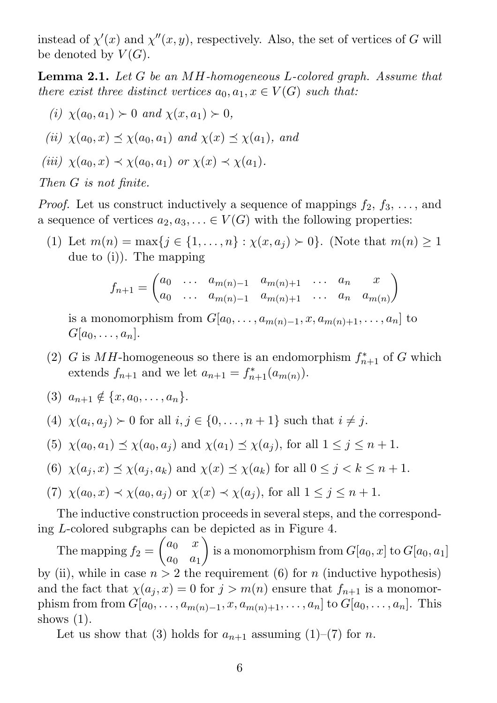instead of  $\chi'(x)$  and  $\chi''(x, y)$ , respectively. Also, the set of vertices of G will be denoted by  $V(G)$ .

Lemma 2.1. Let G be an MH-homogeneous L-colored graph. Assume that there exist three distinct vertices  $a_0, a_1, x \in V(G)$  such that:

(*i*)  $\chi(a_0, a_1) \succ 0$  and  $\chi(x, a_1) \succ 0$ ,

$$
(ii) \ \chi(a_0, x) \preceq \chi(a_0, a_1) \ \text{and} \ \chi(x) \preceq \chi(a_1), \ \text{and}
$$

$$
(iii) \ \chi(a_0, x) \prec \chi(a_0, a_1) \ \text{or} \ \chi(x) \prec \chi(a_1).
$$

Then G is not finite.

*Proof.* Let us construct inductively a sequence of mappings  $f_2, f_3, \ldots$ , and a sequence of vertices  $a_2, a_3, \ldots \in V(G)$  with the following properties:

(1) Let  $m(n) = \max\{j \in \{1, ..., n\} : \chi(x, a_j) \succ 0\}$ . (Note that  $m(n) \ge 1$ due to (i)). The mapping

$$
f_{n+1} = \begin{pmatrix} a_0 & \dots & a_{m(n)-1} & a_{m(n)+1} & \dots & a_n & x \\ a_0 & \dots & a_{m(n)-1} & a_{m(n)+1} & \dots & a_n & a_{m(n)} \end{pmatrix}
$$

is a monomorphism from  $G[a_0, \ldots, a_{m(n)-1}, x, a_{m(n)+1}, \ldots, a_n]$  to  $G[a_0, \ldots, a_n].$ 

- (2) G is MH-homogeneous so there is an endomorphism  $f_{n+1}^*$  of G which extends  $f_{n+1}$  and we let  $a_{n+1} = f_{n+1}^*(a_{m(n)})$ .
- (3)  $a_{n+1} \notin \{x, a_0, \ldots, a_n\}.$
- (4)  $\chi(a_i, a_j) \succ 0$  for all  $i, j \in \{0, \ldots, n+1\}$  such that  $i \neq j$ .
- (5)  $\chi(a_0, a_1) \leq \chi(a_0, a_j)$  and  $\chi(a_1) \leq \chi(a_j)$ , for all  $1 \leq j \leq n+1$ .
- (6)  $\chi(a_j, x) \preceq \chi(a_j, a_k)$  and  $\chi(x) \preceq \chi(a_k)$  for all  $0 \leq j < k \leq n+1$ .

(7) 
$$
\chi(a_0, x) \prec \chi(a_0, a_j)
$$
 or  $\chi(x) \prec \chi(a_j)$ , for all  $1 \leq j \leq n+1$ .

The inductive construction proceeds in several steps, and the corresponding L-colored subgraphs can be depicted as in Figure 4.

The mapping  $f_2 =$  $\int a_0 x$  $a_0$   $a_1$  $\setminus$ is a monomorphism from  $G[a_0,x]$  to  $G[a_0,a_1]$ by (ii), while in case  $n > 2$  the requirement (6) for n (inductive hypothesis) and the fact that  $\chi(a_i, x) = 0$  for  $j > m(n)$  ensure that  $f_{n+1}$  is a monomorphism from from  $G[a_0, \ldots, a_{m(n)-1}, x, a_{m(n)+1}, \ldots, a_n]$  to  $G[a_0, \ldots, a_n]$ . This shows  $(1)$ .

Let us show that (3) holds for  $a_{n+1}$  assuming (1)–(7) for n.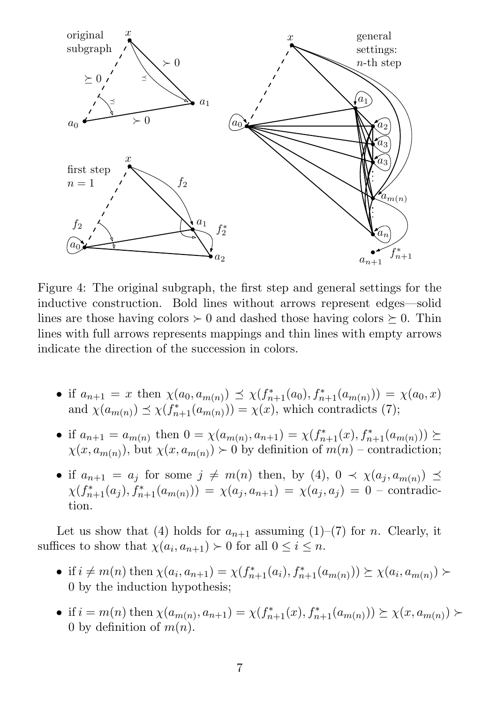

Figure 4: The original subgraph, the first step and general settings for the inductive construction. Bold lines without arrows represent edges—solid lines are those having colors  $\succeq 0$  and dashed those having colors  $\succeq 0$ . Thin lines with full arrows represents mappings and thin lines with empty arrows indicate the direction of the succession in colors.

- if  $a_{n+1} = x$  then  $\chi(a_0, a_{m(n)}) \preceq \chi(f_{n+1}^*(a_0), f_{n+1}^*(a_{m(n)})) = \chi(a_0, x)$ and  $\chi(a_{m(n)}) \preceq \chi(f_{n+1}^*(a_{m(n)})) = \chi(x)$ , which contradicts (7);
- if  $a_{n+1} = a_{m(n)}$  then  $0 = \chi(a_{m(n)}, a_{n+1}) = \chi(f_{n+1}^*(x), f_{n+1}^*(a_{m(n)})) \succeq$  $\chi(x, a_{m(n)})$ , but  $\chi(x, a_{m(n)}) \succ 0$  by definition of  $m(n)$  – contradiction;
- if  $a_{n+1} = a_j$  for some  $j \neq m(n)$  then, by (4),  $0 \prec \chi(a_j, a_{m(n)}) \preceq$  $\chi(f^*_{n+1}(a_j), f^*_{n+1}(a_{m(n)})) = \chi(a_j, a_{n+1}) = \chi(a_j, a_j) = 0$  - contradiction.

Let us show that (4) holds for  $a_{n+1}$  assuming (1)–(7) for n. Clearly, it suffices to show that  $\chi(a_i, a_{n+1}) \succ 0$  for all  $0 \le i \le n$ .

- if  $i \neq m(n)$  then  $\chi(a_i, a_{n+1}) = \chi(f_{n+1}^*(a_i), f_{n+1}^*(a_{m(n)})) \succeq \chi(a_i, a_{m(n)})$ 0 by the induction hypothesis;
- if  $i = m(n)$  then  $\chi(a_{m(n)}, a_{n+1}) = \chi(f_{n+1}^*(x), f_{n+1}^*(a_{m(n)})) \succeq \chi(x, a_{m(n)})$ 0 by definition of  $m(n)$ .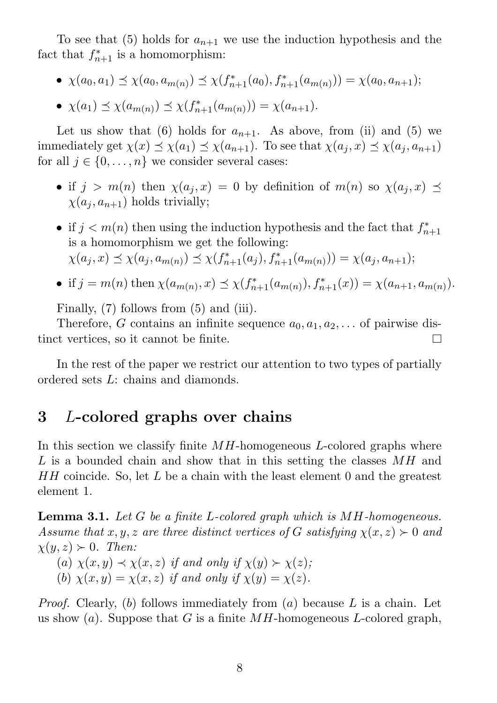To see that (5) holds for  $a_{n+1}$  we use the induction hypothesis and the fact that  $f_{n+1}^*$  is a homomorphism:

- $\chi(a_0, a_1) \preceq \chi(a_0, a_{m(n)}) \preceq \chi(f_{n+1}^*(a_0), f_{n+1}^*(a_{m(n)})) = \chi(a_0, a_{n+1});$
- $\chi(a_1) \preceq \chi(a_{m(n)}) \preceq \chi(f_{n+1}^*(a_{m(n)})) = \chi(a_{n+1}).$

Let us show that (6) holds for  $a_{n+1}$ . As above, from (ii) and (5) we immediately get  $\chi(x) \preceq \chi(a_1) \preceq \chi(a_{n+1})$ . To see that  $\chi(a_j, x) \preceq \chi(a_j, a_{n+1})$ for all  $j \in \{0, \ldots, n\}$  we consider several cases:

- if  $j > m(n)$  then  $\chi(a_i, x) = 0$  by definition of  $m(n)$  so  $\chi(a_i, x) \preceq$  $\chi(a_i, a_{n+1})$  holds trivially;
- if  $j < m(n)$  then using the induction hypothesis and the fact that  $f_n^*$  $n+1$ is a homomorphism we get the following:  $\chi(a_j, x) \preceq \chi(a_j, a_{m(n)}) \preceq \chi(f_{n+1}^*(a_j), f_{n+1}^*(a_{m(n)})) = \chi(a_j, a_{n+1});$
- if  $j = m(n)$  then  $\chi(a_{m(n)}, x) \preceq \chi(f_{n+1}^*(a_{m(n)}), f_{n+1}^*(x)) = \chi(a_{n+1}, a_{m(n)})$ .

Finally, (7) follows from (5) and (iii).

Therefore, G contains an infinite sequence  $a_0, a_1, a_2, \ldots$  of pairwise distinct vertices, so it cannot be finite.  $\Box$ 

In the rest of the paper we restrict our attention to two types of partially ordered sets L: chains and diamonds.

#### 3 L-colored graphs over chains

In this section we classify finite  $MH$ -homogeneous L-colored graphs where L is a bounded chain and show that in this setting the classes MH and  $HH$  coincide. So, let L be a chain with the least element 0 and the greatest element 1.

**Lemma 3.1.** Let G be a finite L-colored graph which is MH-homogeneous. Assume that x, y, z are three distinct vertices of G satisfying  $\chi(x, z) \succ 0$  and  $\chi(y, z) \succ 0$ . Then:

- (a)  $\chi(x, y) \prec \chi(x, z)$  if and only if  $\chi(y) \succ \chi(z)$ ;
- (b)  $\chi(x, y) = \chi(x, z)$  if and only if  $\chi(y) = \chi(z)$ .

*Proof.* Clearly, (b) follows immediately from (a) because L is a chain. Let us show (a). Suppose that G is a finite  $MH$ -homogeneous L-colored graph,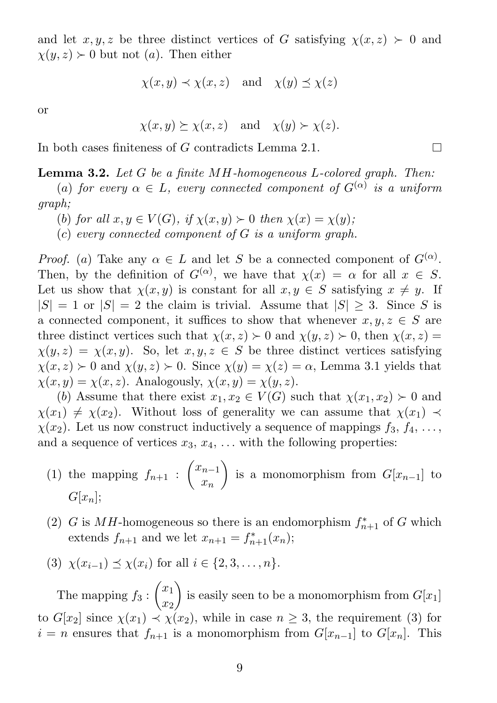and let  $x, y, z$  be three distinct vertices of G satisfying  $\chi(x, z) > 0$  and  $\chi(y, z) \succ 0$  but not (a). Then either

$$
\chi(x, y) \prec \chi(x, z)
$$
 and  $\chi(y) \preceq \chi(z)$ 

or

$$
\chi(x, y) \succeq \chi(x, z)
$$
 and  $\chi(y) \succ \chi(z)$ .

In both cases finiteness of G contradicts Lemma 2.1.

Lemma 3.2. Let G be a finite MH-homogeneous L-colored graph. Then:

(a) for every  $\alpha \in L$ , every connected component of  $G^{(\alpha)}$  is a uniform graph;

- (b) for all  $x, y \in V(G)$ , if  $\chi(x, y) \succ 0$  then  $\chi(x) = \chi(y)$ ;
- $(c)$  every connected component of G is a uniform graph.

*Proof.* (a) Take any  $\alpha \in L$  and let S be a connected component of  $G^{(\alpha)}$ . Then, by the definition of  $G^{(\alpha)}$ , we have that  $\chi(x) = \alpha$  for all  $x \in S$ . Let us show that  $\chi(x, y)$  is constant for all  $x, y \in S$  satisfying  $x \neq y$ . If  $|S| = 1$  or  $|S| = 2$  the claim is trivial. Assume that  $|S| \geq 3$ . Since S is a connected component, it suffices to show that whenever  $x, y, z \in S$  are three distinct vertices such that  $\chi(x, z) \succ 0$  and  $\chi(y, z) \succ 0$ , then  $\chi(x, z) =$  $\chi(y, z) = \chi(x, y)$ . So, let  $x, y, z \in S$  be three distinct vertices satisfying  $\chi(x, z) \succ 0$  and  $\chi(y, z) \succ 0$ . Since  $\chi(y) = \chi(z) = \alpha$ , Lemma 3.1 yields that  $\chi(x, y) = \chi(x, z)$ . Analogously,  $\chi(x, y) = \chi(y, z)$ .

(b) Assume that there exist  $x_1, x_2 \in V(G)$  such that  $\chi(x_1, x_2) \succ 0$  and  $\chi(x_1) \neq \chi(x_2)$ . Without loss of generality we can assume that  $\chi(x_1) \prec$  $\chi(x_2)$ . Let us now construct inductively a sequence of mappings  $f_3, f_4, \ldots$ , and a sequence of vertices  $x_3, x_4, \ldots$  with the following properties:

- (1) the mapping  $f_{n+1}$ :  $\int x_{n-1}$  $\bar{x}_n$  $\setminus$ is a monomorphism from  $G[x_{n-1}]$  to  $G[x_n];$
- (2) G is MH-homogeneous so there is an endomorphism  $f_{n+1}^*$  of G which extends  $f_{n+1}$  and we let  $x_{n+1} = f_{n+1}^*(x_n);$

(3) 
$$
\chi(x_{i-1}) \leq \chi(x_i)
$$
 for all  $i \in \{2, 3, ..., n\}.$ 

The mapping  $f_3$ :  $\sqrt{x_1}$  $\overline{x_2}$  $\setminus$ is easily seen to be a monomorphism from  $G[x_1]$ to  $G[x_2]$  since  $\chi(x_1) \prec \chi(x_2)$ , while in case  $n \geq 3$ , the requirement (3) for  $i = n$  ensures that  $f_{n+1}$  is a monomorphism from  $G[x_{n-1}]$  to  $G[x_n]$ . This

 $\Box$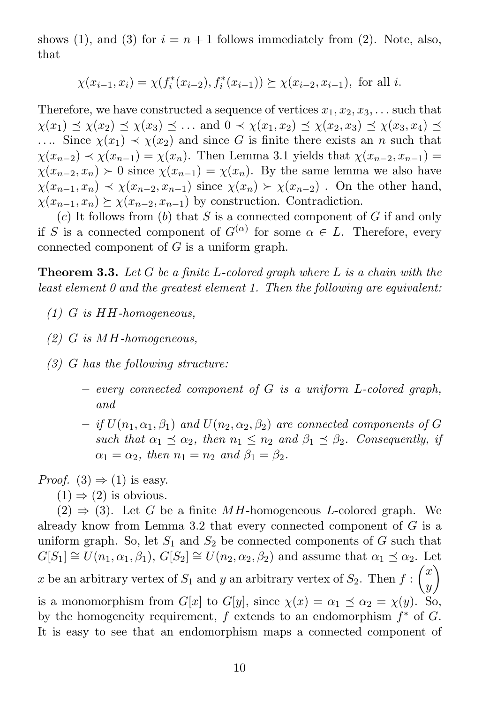shows (1), and (3) for  $i = n + 1$  follows immediately from (2). Note, also, that

$$
\chi(x_{i-1}, x_i) = \chi(f_i^*(x_{i-2}), f_i^*(x_{i-1})) \succeq \chi(x_{i-2}, x_{i-1}),
$$
 for all *i*.

Therefore, we have constructed a sequence of vertices  $x_1, x_2, x_3, \ldots$  such that  $\chi(x_1) \preceq \chi(x_2) \preceq \chi(x_3) \preceq \ldots$  and  $0 \prec \chi(x_1, x_2) \preceq \chi(x_2, x_3) \preceq \chi(x_3, x_4) \preceq$ .... Since  $\chi(x_1) \prec \chi(x_2)$  and since G is finite there exists an n such that  $\chi(x_{n-2}) \prec \chi(x_{n-1}) = \chi(x_n)$ . Then Lemma 3.1 yields that  $\chi(x_{n-2}, x_{n-1}) =$  $\chi(x_{n-2}, x_n) \succ 0$  since  $\chi(x_{n-1}) = \chi(x_n)$ . By the same lemma we also have  $\chi(x_{n-1}, x_n) \prec \chi(x_{n-2}, x_{n-1})$  since  $\chi(x_n) \succ \chi(x_{n-2})$ . On the other hand,  $\chi(x_{n-1}, x_n) \succeq \chi(x_{n-2}, x_{n-1})$  by construction. Contradiction.

 $(c)$  It follows from  $(b)$  that S is a connected component of G if and only if S is a connected component of  $G^{(\alpha)}$  for some  $\alpha \in L$ . Therefore, every connected component of  $G$  is a uniform graph.

**Theorem 3.3.** Let G be a finite L-colored graph where L is a chain with the least element 0 and the greatest element 1. Then the following are equivalent:

- $(1)$  G is HH-homogeneous.
- (2) G is MH-homogeneous,
- (3) G has the following structure:
	- $-$  every connected component of  $G$  is a uniform L-colored graph, and
	- $-$  if  $U(n_1, \alpha_1, \beta_1)$  and  $U(n_2, \alpha_2, \beta_2)$  are connected components of  $G$ such that  $\alpha_1 \preceq \alpha_2$ , then  $n_1 \leq n_2$  and  $\beta_1 \preceq \beta_2$ . Consequently, if  $\alpha_1 = \alpha_2$ , then  $n_1 = n_2$  and  $\beta_1 = \beta_2$ .

*Proof.* (3)  $\Rightarrow$  (1) is easy.

 $(1) \Rightarrow (2)$  is obvious.

 $(2) \Rightarrow (3)$ . Let G be a finite MH-homogeneous L-colored graph. We already know from Lemma 3.2 that every connected component of  $G$  is a uniform graph. So, let  $S_1$  and  $S_2$  be connected components of G such that  $G[S_1] \cong U(n_1, \alpha_1, \beta_1), G[S_2] \cong U(n_2, \alpha_2, \beta_2)$  and assume that  $\alpha_1 \preceq \alpha_2$ . Let x be an arbitrary vertex of  $S_1$  and y an arbitrary vertex of  $S_2$ . Then  $f$ :  $\sqrt{x}$  $\hat{y}$  $\setminus$ is a monomorphism from  $G[x]$  to  $G[y]$ , since  $\chi(x) = \alpha_1 \preceq \alpha_2 = \chi(y)$ . So, by the homogeneity requirement,  $f$  extends to an endomorphism  $f^*$  of  $G$ . It is easy to see that an endomorphism maps a connected component of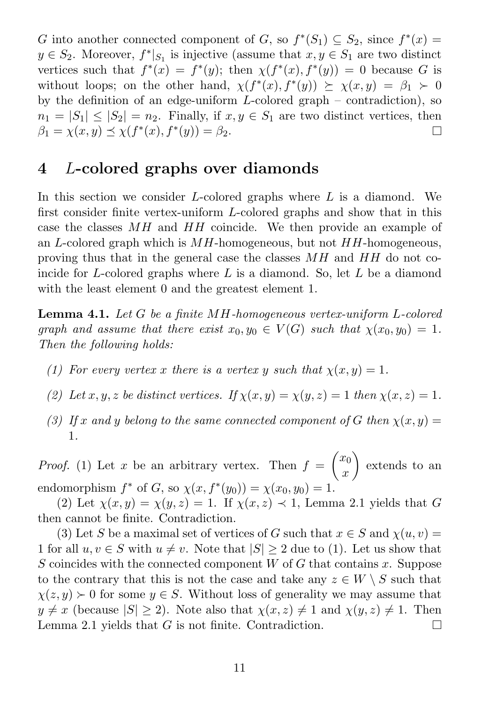G into another connected component of G, so  $f^*(S_1) \subseteq S_2$ , since  $f^*(x) =$  $y \in S_2$ . Moreover,  $f^*|_{S_1}$  is injective (assume that  $x, y \in S_1$  are two distinct vertices such that  $f^*(x) = f^*(y)$ ; then  $\chi(f^*(x), f^*(y)) = 0$  because G is without loops; on the other hand,  $\chi(f^*(x), f^*(y)) \geq \chi(x, y) = \beta_1 > 0$ by the definition of an edge-uniform  $L$ -colored graph – contradiction), so  $n_1 = |S_1| \leq |S_2| = n_2$ . Finally, if  $x, y \in S_1$  are two distinct vertices, then  $\beta_1 = \chi(x, y) \preceq \chi(f^*(x), f^*(y)) = \beta_2.$  $\Box$ 

#### 4 L-colored graphs over diamonds

In this section we consider  $L$ -colored graphs where  $L$  is a diamond. We first consider finite vertex-uniform L-colored graphs and show that in this case the classes MH and HH coincide. We then provide an example of an L-colored graph which is  $MH$ -homogeneous, but not  $HH$ -homogeneous, proving thus that in the general case the classes MH and HH do not coincide for L-colored graphs where  $L$  is a diamond. So, let  $L$  be a diamond with the least element 0 and the greatest element 1.

**Lemma 4.1.** Let G be a finite MH-homogeneous vertex-uniform L-colored graph and assume that there exist  $x_0, y_0 \in V(G)$  such that  $\chi(x_0, y_0) = 1$ . Then the following holds:

- (1) For every vertex x there is a vertex y such that  $\chi(x, y) = 1$ .
- (2) Let  $x, y, z$  be distinct vertices. If  $\chi(x, y) = \chi(y, z) = 1$  then  $\chi(x, z) = 1$ .
- (3) If x and y belong to the same connected component of G then  $\chi(x, y) =$ 1.

*Proof.* (1) Let x be an arbitrary vertex. Then  $f =$  $\sqrt{x_0}$  $\mathcal{X}$  $\setminus$ extends to an endomorphism  $f^*$  of G, so  $\chi(x, f^*(y_0)) = \chi(x_0, y_0) = 1$ .

(2) Let  $\chi(x, y) = \chi(y, z) = 1$ . If  $\chi(x, z) \prec 1$ , Lemma 2.1 yields that G then cannot be finite. Contradiction.

(3) Let S be a maximal set of vertices of G such that  $x \in S$  and  $\chi(u, v) =$ 1 for all  $u, v \in S$  with  $u \neq v$ . Note that  $|S| \geq 2$  due to (1). Let us show that  $S$  coincides with the connected component  $W$  of  $G$  that contains  $x$ . Suppose to the contrary that this is not the case and take any  $z \in W \setminus S$  such that  $\chi(z, y) \succ 0$  for some  $y \in S$ . Without loss of generality we may assume that  $y \neq x$  (because  $|S| \geq 2$ ). Note also that  $\chi(x, z) \neq 1$  and  $\chi(y, z) \neq 1$ . Then Lemma 2.1 vields that G is not finite. Contradiction. Lemma 2.1 yields that G is not finite. Contradiction.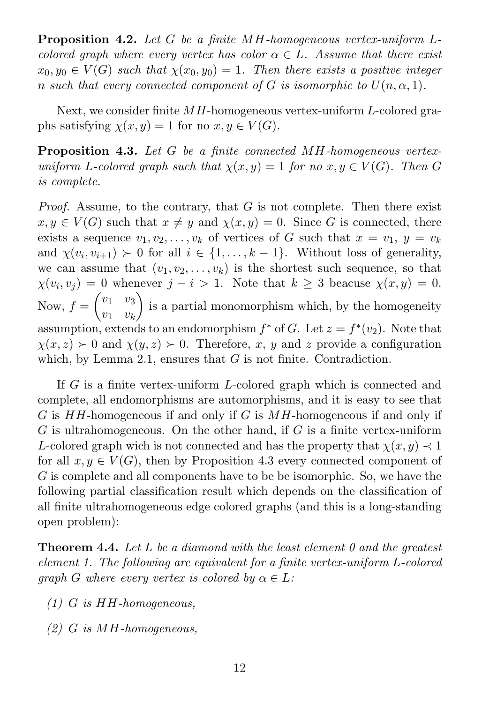Proposition 4.2. Let G be a finite MH-homogeneous vertex-uniform Lcolored graph where every vertex has color  $\alpha \in L$ . Assume that there exist  $x_0, y_0 \in V(G)$  such that  $\chi(x_0, y_0) = 1$ . Then there exists a positive integer n such that every connected component of G is isomorphic to  $U(n, \alpha, 1)$ .

Next, we consider finite  $MH$ -homogeneous vertex-uniform L-colored graphs satisfying  $\chi(x, y) = 1$  for no  $x, y \in V(G)$ .

Proposition 4.3. Let G be a finite connected MH-homogeneous vertexuniform L-colored graph such that  $\chi(x, y) = 1$  for no  $x, y \in V(G)$ . Then G is complete.

*Proof.* Assume, to the contrary, that  $G$  is not complete. Then there exist  $x, y \in V(G)$  such that  $x \neq y$  and  $\chi(x, y) = 0$ . Since G is connected, there exists a sequence  $v_1, v_2, \ldots, v_k$  of vertices of G such that  $x = v_1, y = v_k$ and  $\chi(v_i, v_{i+1}) \succ 0$  for all  $i \in \{1, ..., k-1\}$ . Without loss of generality, we can assume that  $(v_1, v_2, \ldots, v_k)$  is the shortest such sequence, so that  $\chi(v_i, v_j) = 0$  whenever  $j - i > 1$ . Note that  $k \geq 3$  beacuse  $\chi(x, y) = 0$ .  $\begin{pmatrix} v_1 & v_3 \end{pmatrix}$  $\setminus$ Now,  $f =$ is a partial monomorphism which, by the homogeneity  $v_1$   $v_k$ assumption, extends to an endomorphism  $f^*$  of G. Let  $z = f^*(v_2)$ . Note that  $\chi(x, z) \succ 0$  and  $\chi(y, z) \succ 0$ . Therefore, x, y and z provide a configuration which, by Lemma 2.1, ensures that G is not finite. Contradiction.  $\Box$ 

If G is a finite vertex-uniform L-colored graph which is connected and complete, all endomorphisms are automorphisms, and it is easy to see that G is  $HH$ -homogeneous if and only if G is  $MH$ -homogeneous if and only if  $G$  is ultrahomogeneous. On the other hand, if  $G$  is a finite vertex-uniform L-colored graph wich is not connected and has the property that  $\chi(x, y) \prec 1$ for all  $x, y \in V(G)$ , then by Proposition 4.3 every connected component of G is complete and all components have to be be isomorphic. So, we have the following partial classification result which depends on the classification of all finite ultrahomogeneous edge colored graphs (and this is a long-standing open problem):

**Theorem 4.4.** Let L be a diamond with the least element 0 and the greatest element 1. The following are equivalent for a finite vertex-uniform L-colored qraph G where every vertex is colored by  $\alpha \in L$ :

- (1) G is HH-homogeneous,
- (2) G is MH-homogeneous,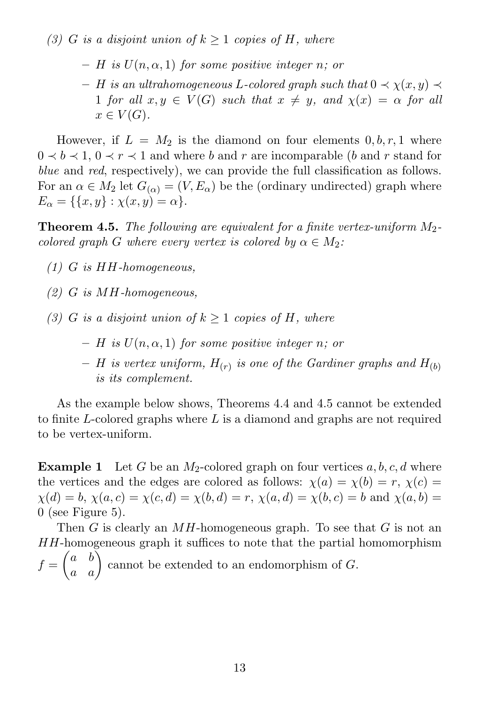(3) G is a disjoint union of  $k \geq 1$  copies of H, where

- $H$  is  $U(n, \alpha, 1)$  for some positive integer n; or
- $H$  is an ultrahomogeneous L-colored graph such that  $0 \prec \chi(x, y) \prec$ 1 for all  $x, y \in V(G)$  such that  $x \neq y$ , and  $\chi(x) = \alpha$  for all  $x \in V(G)$ .

However, if  $L = M_2$  is the diamond on four elements  $0, b, r, 1$  where  $0 \lt b \lt 1$ ,  $0 \lt r \lt 1$  and where b and r are incomparable (b and r stand for blue and red, respectively), we can provide the full classification as follows. For an  $\alpha \in M_2$  let  $G_{(\alpha)} = (V, E_{\alpha})$  be the (ordinary undirected) graph where  $E_{\alpha} = \{ \{x, y\} : \chi(x, y) = \alpha \}.$ 

**Theorem 4.5.** The following are equivalent for a finite vertex-uniform  $M_2$ colored graph G where every vertex is colored by  $\alpha \in M_2$ :

- (1) G is HH-homogeneous,
- (2) G is MH-homogeneous,
- (3) G is a disjoint union of  $k \geq 1$  copies of H, where
	- $H$  is  $U(n, \alpha, 1)$  for some positive integer n; or
	- $-$  H is vertex uniform,  $H_{(r)}$  is one of the Gardiner graphs and  $H_{(b)}$ is its complement.

As the example below shows, Theorems 4.4 and 4.5 cannot be extended to finite L-colored graphs where L is a diamond and graphs are not required to be vertex-uniform.

**Example 1** Let G be an  $M_2$ -colored graph on four vertices  $a, b, c, d$  where the vertices and the edges are colored as follows:  $\chi(a) = \chi(b) = r$ ,  $\chi(c) =$  $\chi(d) = b, \chi(a, c) = \chi(c, d) = \chi(b, d) = r, \chi(a, d) = \chi(b, c) = b$  and  $\chi(a, b) =$ 0 (see Figure 5).

Then G is clearly an  $MH$ -homogeneous graph. To see that G is not an HH-homogeneous graph it suffices to note that the partial homomorphism  $f =$  $\begin{pmatrix} a & b \\ a & a \end{pmatrix}$ cannot be extended to an endomorphism of G.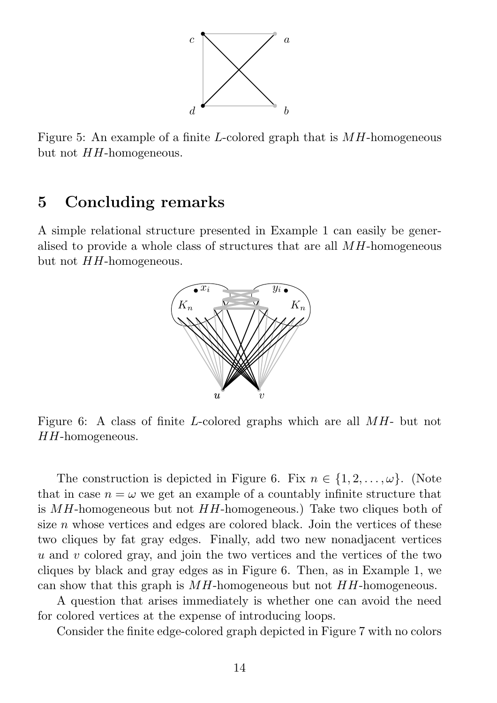

Figure 5: An example of a finite L-colored graph that is  $MH$ -homogeneous but not  $HH$ -homogeneous.

## 5 Concluding remarks

A simple relational structure presented in Example 1 can easily be generalised to provide a whole class of structures that are all MH-homogeneous but not  $HH$ -homogeneous.



Figure 6: A class of finite L-colored graphs which are all MH- but not  $HH$ -homogeneous.

The construction is depicted in Figure 6. Fix  $n \in \{1, 2, \ldots, \omega\}$ . (Note that in case  $n = \omega$  we get an example of a countably infinite structure that is MH-homogeneous but not HH-homogeneous.) Take two cliques both of size  $n$  whose vertices and edges are colored black. Join the vertices of these two cliques by fat gray edges. Finally, add two new nonadjacent vertices u and v colored gray, and join the two vertices and the vertices of the two cliques by black and gray edges as in Figure 6. Then, as in Example 1, we can show that this graph is  $MH$ -homogeneous but not  $HH$ -homogeneous.

A question that arises immediately is whether one can avoid the need for colored vertices at the expense of introducing loops.

Consider the finite edge-colored graph depicted in Figure 7 with no colors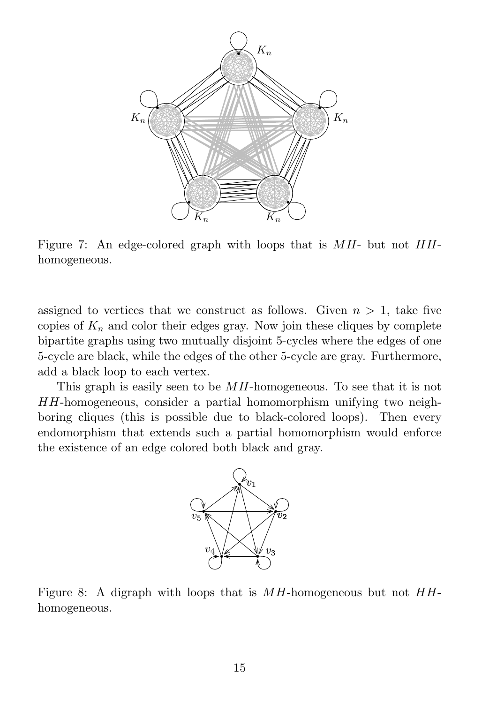

Figure 7: An edge-colored graph with loops that is  $MH$ - but not  $HH$ homogeneous.

assigned to vertices that we construct as follows. Given  $n > 1$ , take five copies of  $K_n$  and color their edges gray. Now join these cliques by complete bipartite graphs using two mutually disjoint 5-cycles where the edges of one 5-cycle are black, while the edges of the other 5-cycle are gray. Furthermore, add a black loop to each vertex.

This graph is easily seen to be  $MH$ -homogeneous. To see that it is not HH-homogeneous, consider a partial homomorphism unifying two neighboring cliques (this is possible due to black-colored loops). Then every endomorphism that extends such a partial homomorphism would enforce the existence of an edge colored both black and gray.



Figure 8: A digraph with loops that is  $MH$ -homogeneous but not  $HH$ homogeneous.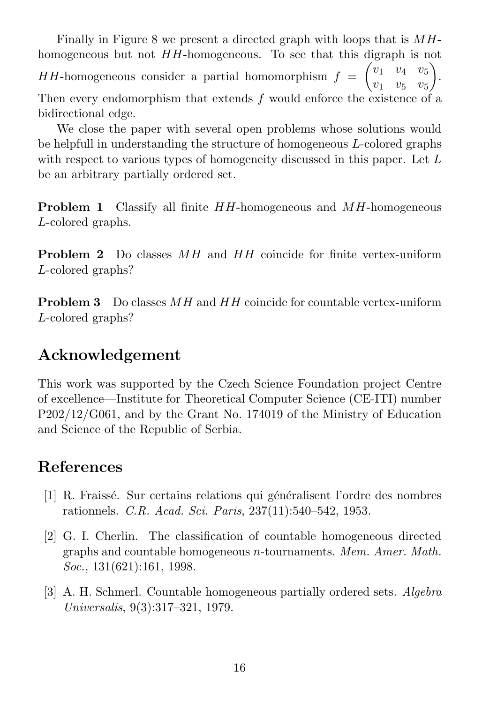Finally in Figure 8 we present a directed graph with loops that is MHhomogeneous but not HH-homogeneous. To see that this digraph is not  $HH$ -homogeneous consider a partial homomorphism  $f =$  $\begin{pmatrix} v_1 & v_4 & v_5 \end{pmatrix}$  $v_1$   $v_5$   $v_5$  $\setminus$ . Then every endomorphism that extends f would enforce the existence of a bidirectional edge.

We close the paper with several open problems whose solutions would be helpfull in understanding the structure of homogeneous L-colored graphs with respect to various types of homogeneity discussed in this paper. Let L be an arbitrary partially ordered set.

**Problem 1** Classify all finite HH-homogeneous and MH-homogeneous L-colored graphs.

Problem 2 Do classes MH and HH coincide for finite vertex-uniform L-colored graphs?

Problem 3 Do classes MH and HH coincide for countable vertex-uniform L-colored graphs?

## Acknowledgement

This work was supported by the Czech Science Foundation project Centre of excellence—Institute for Theoretical Computer Science (CE-ITI) number P202/12/G061, and by the Grant No. 174019 of the Ministry of Education and Science of the Republic of Serbia.

# References

- [1] R. Fraissé. Sur certains relations qui généralisent l'ordre des nombres rationnels. C.R. Acad. Sci. Paris, 237(11):540–542, 1953.
- [2] G. I. Cherlin. The classification of countable homogeneous directed graphs and countable homogeneous n-tournaments. Mem. Amer. Math. Soc., 131(621):161, 1998.
- [3] A. H. Schmerl. Countable homogeneous partially ordered sets. Algebra Universalis, 9(3):317–321, 1979.